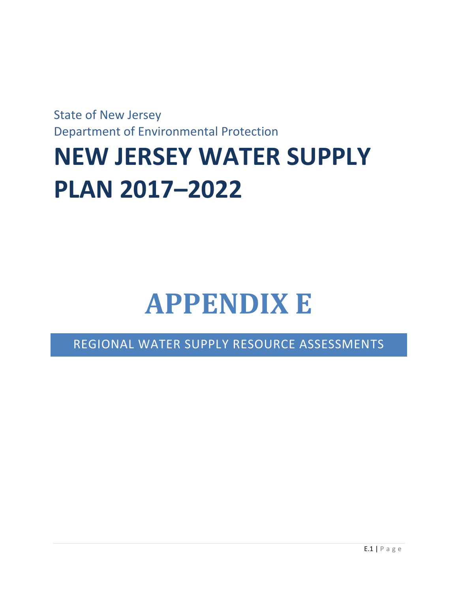State of New Jersey Department of Environmental Protection

# **NEW JERSEY WATER SUPPLY PLAN 2017–2022**

# **APPENDIX E**

REGIONAL WATER SUPPLY RESOURCE ASSESSMENTS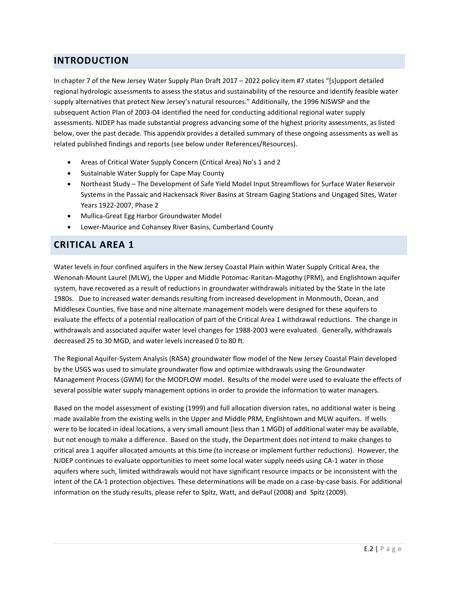## **INTRODUCTION**

In chapter 7 of the New Jersey Water Supply Plan Draft 2017 – 2022 policy item #7 states "[s]upport detailed regional hydrologic assessments to assess the status and sustainability of the resource and identify feasible water supply alternatives that protect New Jersey's natural resources." Additionally, the 1996 NJSWSP and the subsequent Action Plan of 2003-04 identified the need for conducting additional regional water supply assessments. NJDEP has made substantial progress advancing some of the highest priority assessments, as listed below, over the past decade. This appendix provides a detailed summary of these ongoing assessments as well as related published findings and reports (see below under References/Resources).

- Areas of Critical Water Supply Concern (Critical Area) No's 1 and 2
- Sustainable Water Supply for Cape May County
- Northeast Study The Development of Safe Yield Model Input Streamflows for Surface Water Reservoir Systems in the Passaic and Hackensack River Basins at Stream Gaging Stations and Ungaged Sites, Water Years 1922-2007, Phase 2
- Mullica-Great Egg Harbor Groundwater Model
- Lower-Maurice and Cohansey River Basins, Cumberland County

## **CRITICAL AREA 1**

Water levels in four confined aquifers in the New Jersey Coastal Plain within Water Supply Critical Area, the Wenonah-Mount Laurel (MLW), the Upper and Middle Potomac-Raritan-Magothy (PRM), and Englishtown aquifer system, have recovered as a result of reductions in groundwater withdrawals initiated by the State in the late 1980s. Due to increased water demands resulting from increased development in Monmouth, Ocean, and Middlesex Counties, five base and nine alternate management models were designed for these aquifers to evaluate the effects of a potential reallocation of part of the Critical Area 1 withdrawal reductions. The change in withdrawals and associated aquifer water level changes for 1988-2003 were evaluated. Generally, withdrawals decreased 25 to 30 MGD, and water levels increased 0 to 80 ft.

The Regional Aquifer-System Analysis (RASA) groundwater flow model of the New Jersey Coastal Plain developed by the USGS was used to simulate groundwater flow and optimize withdrawals using the Groundwater Management Process (GWM) for the MODFLOW model. Results of the model were used to evaluate the effects of several possible water supply management options in order to provide the information to water managers.

Based on the model assessment of existing (1999) and full allocation diversion rates, no additional water is being made available from the existing wells in the Upper and Middle PRM, Englishtown and MLW aquifers. If wells were to be located in ideal locations, a very small amount (less than 1 MGD) of additional water may be available, but not enough to make a difference. Based on the study, the Department does not intend to make changes to critical area 1 aquifer allocated amounts at this time (to increase or implement further reductions). However, the NJDEP continues to evaluate opportunities to meet some local water supply needs using CA-1 water in those aquifers where such, limited withdrawals would not have significant resource impacts or be inconsistent with the intent of the CA-1 protection objectives. These determinations will be made on a case-by-case basis. For additional information on the study results, please refer to Spitz, Watt, and dePaul (2008) and Spitz (2009).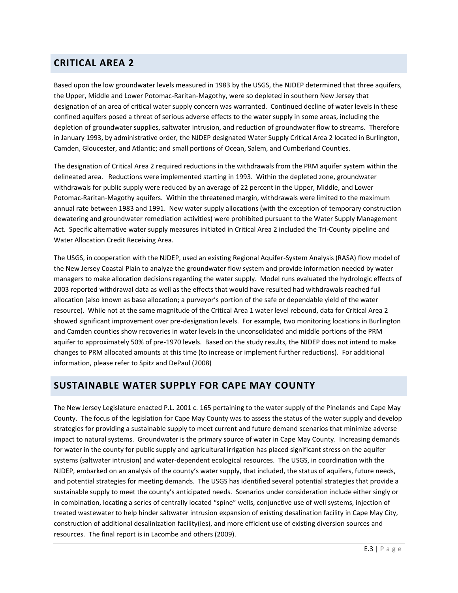# **CRITICAL AREA 2**

Based upon the low groundwater levels measured in 1983 by the USGS, the NJDEP determined that three aquifers, the Upper, Middle and Lower Potomac-Raritan-Magothy, were so depleted in southern New Jersey that designation of an area of critical water supply concern was warranted. Continued decline of water levels in these confined aquifers posed a threat of serious adverse effects to the water supply in some areas, including the depletion of groundwater supplies, saltwater intrusion, and reduction of groundwater flow to streams. Therefore in January 1993, by administrative order, the NJDEP designated Water Supply Critical Area 2 located in Burlington, Camden, Gloucester, and Atlantic; and small portions of Ocean, Salem, and Cumberland Counties.

The designation of Critical Area 2 required reductions in the withdrawals from the PRM aquifer system within the delineated area. Reductions were implemented starting in 1993. Within the depleted zone, groundwater withdrawals for public supply were reduced by an average of 22 percent in the Upper, Middle, and Lower Potomac-Raritan-Magothy aquifers. Within the threatened margin, withdrawals were limited to the maximum annual rate between 1983 and 1991. New water supply allocations (with the exception of temporary construction dewatering and groundwater remediation activities) were prohibited pursuant to the Water Supply Management Act. Specific alternative water supply measures initiated in Critical Area 2 included the Tri-County pipeline and Water Allocation Credit Receiving Area.

The USGS, in cooperation with the NJDEP, used an existing Regional Aquifer-System Analysis (RASA) flow model of the New Jersey Coastal Plain to analyze the groundwater flow system and provide information needed by water managers to make allocation decisions regarding the water supply. Model runs evaluated the hydrologic effects of 2003 reported withdrawal data as well as the effects that would have resulted had withdrawals reached full allocation (also known as base allocation; a purveyor's portion of the safe or dependable yield of the water resource). While not at the same magnitude of the Critical Area 1 water level rebound, data for Critical Area 2 showed significant improvement over pre-designation levels. For example, two monitoring locations in Burlington and Camden counties show recoveries in water levels in the unconsolidated and middle portions of the PRM aquifer to approximately 50% of pre-1970 levels. Based on the study results, the NJDEP does not intend to make changes to PRM allocated amounts at this time (to increase or implement further reductions). For additional information, please refer to Spitz and DePaul (2008)

## **SUSTAINABLE WATER SUPPLY FOR CAPE MAY COUNTY**

The New Jersey Legislature enacted P.L. 2001 c. 165 pertaining to the water supply of the Pinelands and Cape May County. The focus of the legislation for Cape May County was to assess the status of the water supply and develop strategies for providing a sustainable supply to meet current and future demand scenarios that minimize adverse impact to natural systems. Groundwater is the primary source of water in Cape May County. Increasing demands for water in the county for public supply and agricultural irrigation has placed significant stress on the aquifer systems (saltwater intrusion) and water-dependent ecological resources. The USGS, in coordination with the NJDEP, embarked on an analysis of the county's water supply, that included, the status of aquifers, future needs, and potential strategies for meeting demands. The USGS has identified several potential strategies that provide a sustainable supply to meet the county's anticipated needs. Scenarios under consideration include either singly or in combination, locating a series of centrally located "spine" wells, conjunctive use of well systems, injection of treated wastewater to help hinder saltwater intrusion expansion of existing desalination facility in Cape May City, construction of additional desalinization facility(ies), and more efficient use of existing diversion sources and resources. The final report is in Lacombe and others (2009).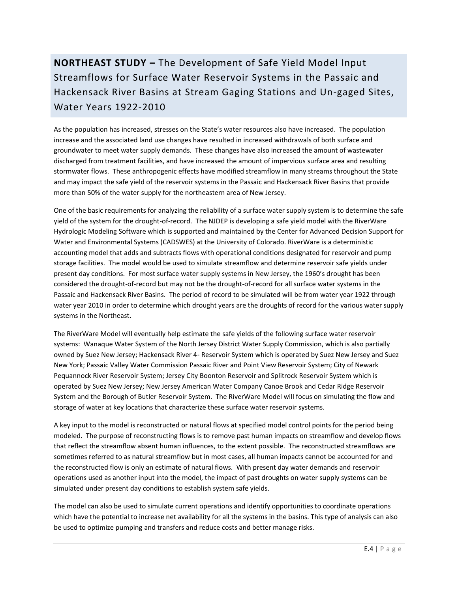# **NORTHEAST STUDY –** The Development of Safe Yield Model Input Streamflows for Surface Water Reservoir Systems in the Passaic and Hackensack River Basins at Stream Gaging Stations and Un-gaged Sites, Water Years 1922-2010

As the population has increased, stresses on the State's water resources also have increased. The population increase and the associated land use changes have resulted in increased withdrawals of both surface and groundwater to meet water supply demands. These changes have also increased the amount of wastewater discharged from treatment facilities, and have increased the amount of impervious surface area and resulting stormwater flows. These anthropogenic effects have modified streamflow in many streams throughout the State and may impact the safe yield of the reservoir systems in the Passaic and Hackensack River Basins that provide more than 50% of the water supply for the northeastern area of New Jersey.

One of the basic requirements for analyzing the reliability of a surface water supply system is to determine the safe yield of the system for the drought-of-record. The NJDEP is developing a safe yield model with the RiverWare Hydrologic Modeling Software which is supported and maintained by the Center for Advanced Decision Support for Water and Environmental Systems (CADSWES) at the University of Colorado. RiverWare is a deterministic accounting model that adds and subtracts flows with operational conditions designated for reservoir and pump storage facilities. The model would be used to simulate streamflow and determine reservoir safe yields under present day conditions. For most surface water supply systems in New Jersey, the 1960's drought has been considered the drought-of-record but may not be the drought-of-record for all surface water systems in the Passaic and Hackensack River Basins. The period of record to be simulated will be from water year 1922 through water year 2010 in order to determine which drought years are the droughts of record for the various water supply systems in the Northeast.

The RiverWare Model will eventually help estimate the safe yields of the following surface water reservoir systems: Wanaque Water System of the North Jersey District Water Supply Commission, which is also partially owned by Suez New Jersey; Hackensack River 4- Reservoir System which is operated by Suez New Jersey and Suez New York; Passaic Valley Water Commission Passaic River and Point View Reservoir System; City of Newark Pequannock River Reservoir System; Jersey City Boonton Reservoir and Splitrock Reservoir System which is operated by Suez New Jersey; New Jersey American Water Company Canoe Brook and Cedar Ridge Reservoir System and the Borough of Butler Reservoir System. The RiverWare Model will focus on simulating the flow and storage of water at key locations that characterize these surface water reservoir systems.

A key input to the model is reconstructed or natural flows at specified model control points for the period being modeled. The purpose of reconstructing flows is to remove past human impacts on streamflow and develop flows that reflect the streamflow absent human influences, to the extent possible. The reconstructed streamflows are sometimes referred to as natural streamflow but in most cases, all human impacts cannot be accounted for and the reconstructed flow is only an estimate of natural flows. With present day water demands and reservoir operations used as another input into the model, the impact of past droughts on water supply systems can be simulated under present day conditions to establish system safe yields.

The model can also be used to simulate current operations and identify opportunities to coordinate operations which have the potential to increase net availability for all the systems in the basins. This type of analysis can also be used to optimize pumping and transfers and reduce costs and better manage risks.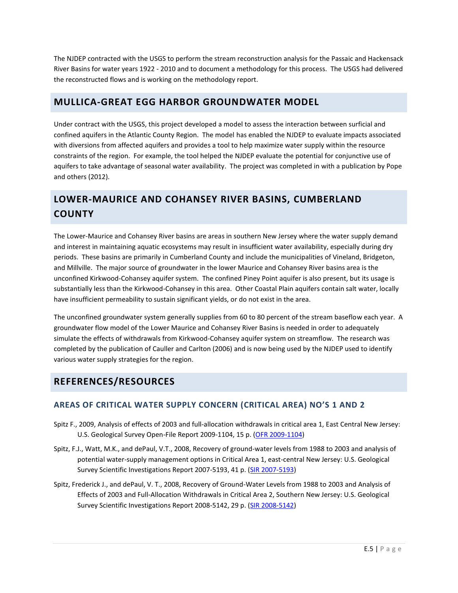The NJDEP contracted with the USGS to perform the stream reconstruction analysis for the Passaic and Hackensack River Basins for water years 1922 - 2010 and to document a methodology for this process. The USGS had delivered the reconstructed flows and is working on the methodology report.

# **MULLICA-GREAT EGG HARBOR GROUNDWATER MODEL**

Under contract with the USGS, this project developed a model to assess the interaction between surficial and confined aquifers in the Atlantic County Region. The model has enabled the NJDEP to evaluate impacts associated with diversions from affected aquifers and provides a tool to help maximize water supply within the resource constraints of the region. For example, the tool helped the NJDEP evaluate the potential for conjunctive use of aquifers to take advantage of seasonal water availability. The project was completed in with a publication by Pope and others (2012).

# **LOWER-MAURICE AND COHANSEY RIVER BASINS, CUMBERLAND COUNTY**

The Lower-Maurice and Cohansey River basins are areas in southern New Jersey where the water supply demand and interest in maintaining aquatic ecosystems may result in insufficient water availability, especially during dry periods. These basins are primarily in Cumberland County and include the municipalities of Vineland, Bridgeton, and Millville. The major source of groundwater in the lower Maurice and Cohansey River basins area is the unconfined Kirkwood-Cohansey aquifer system. The confined Piney Point aquifer is also present, but its usage is substantially less than the Kirkwood-Cohansey in this area. Other Coastal Plain aquifers contain salt water, locally have insufficient permeability to sustain significant yields, or do not exist in the area.

The unconfined groundwater system generally supplies from 60 to 80 percent of the stream baseflow each year. A groundwater flow model of the Lower Maurice and Cohansey River Basins is needed in order to adequately simulate the effects of withdrawals from Kirkwood-Cohansey aquifer system on streamflow. The research was completed by the publication of Cauller and Carlton (2006) and is now being used by the NJDEP used to identify various water supply strategies for the region.

## **REFERENCES/RESOURCES**

## **AREAS OF CRITICAL WATER SUPPLY CONCERN (CRITICAL AREA) NO'S 1 AND 2**

- Spitz F., 2009, Analysis of effects of 2003 and full-allocation withdrawals in critical area 1, East Central New Jersey: U.S. Geological Survey Open-File Report 2009-1104, 15 p. [\(OFR 2009-1104\)](https://pubs.er.usgs.gov/usgspubs/ofr/ofr20091104)
- Spitz, F.J., Watt, M.K., and dePaul, V.T., 2008, Recovery of ground-water levels from 1988 to 2003 and analysis of potential water-supply management options in Critical Area 1, east-central New Jersey: U.S. Geological Survey Scientific Investigations Report 2007-5193, 41 p. [\(SIR 2007-5193\)](https://pubs.er.usgs.gov/usgspubs/sir/sir20075193)
- Spitz, Frederick J., and dePaul, V. T., 2008, Recovery of Ground-Water Levels from 1988 to 2003 and Analysis of Effects of 2003 and Full-Allocation Withdrawals in Critical Area 2, Southern New Jersey: U.S. Geological Survey Scientific Investigations Report 2008-5142, 29 p. [\(SIR 2008-5142\)](https://pubs.usgs.gov/sir/2008/5142/)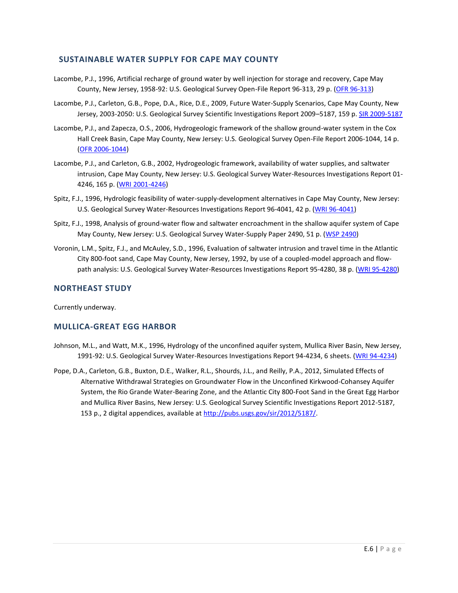### **SUSTAINABLE WATER SUPPLY FOR CAPE MAY COUNTY**

- Lacombe, P.J., 1996, Artificial recharge of ground water by well injection for storage and recovery, Cape May County, New Jersey, 1958-92: U.S. Geological Survey Open-File Report 96-313, 29 p. [\(OFR 96-313\)](https://pubs.er.usgs.gov/usgspubs/ofr/ofr96313)
- Lacombe, P.J., Carleton, G.B., Pope, D.A., Rice, D.E., 2009, Future Water-Supply Scenarios, Cape May County, New Jersey, 2003-2050: U.S. Geological Survey Scientific Investigations Report 2009-5187, 159 p. [SIR 2009-5187](https://pubs.usgs.gov/sir/2009/5187/)
- Lacombe, P.J., and Zapecza, O.S., 2006, Hydrogeologic framework of the shallow ground-water system in the Cox Hall Creek Basin, Cape May County, New Jersey: U.S. Geological Survey Open-File Report 2006-1044, 14 p. [\(OFR 2006-1044\)](https://pubs.usgs.gov/of/2006/1044/)
- Lacombe, P.J., and Carleton, G.B., 2002, Hydrogeologic framework, availability of water supplies, and saltwater intrusion, Cape May County, New Jersey: U.S. Geological Survey Water-Resources Investigations Report 01- 4246, 165 p. [\(WRI 2001-4246\)](https://pubs.usgs.gov/wri/wri014246/)
- Spitz, F.J., 1996, Hydrologic feasibility of water-supply-development alternatives in Cape May County, New Jersey: U.S. Geological Survey Water-Resources Investigations Report 96-4041, 42 p. [\(WRI 96-4041\)](https://pubs.er.usgs.gov/usgspubs/wri/wri964041)
- Spitz, F.J., 1998, Analysis of ground-water flow and saltwater encroachment in the shallow aquifer system of Cape May County, New Jersey: U.S. Geological Survey Water-Supply Paper 2490, 51 p. [\(WSP 2490\)](https://pubs.er.usgs.gov/usgspubs/wsp/wsp2490)
- Voronin, L.M., Spitz, F.J., and McAuley, S.D., 1996, Evaluation of saltwater intrusion and travel time in the Atlantic City 800-foot sand, Cape May County, New Jersey, 1992, by use of a coupled-model approach and flow-path analysis: U.S. Geological Survey Water-Resources Investigations Report 95-4280, 38 p. [\(WRI 95-4280\)](https://pubs.er.usgs.gov/usgspubs/wri/wri954280)

### **NORTHEAST STUDY**

Currently underway.

### **MULLICA-GREAT EGG HARBOR**

- Johnson, M.L., and Watt, M.K., 1996, Hydrology of the unconfined aquifer system, Mullica River Basin, New Jersey, 1991-92: U.S. Geological Survey Water-Resources Investigations Report 94-4234, 6 sheets. [\(WRI 94-4234\)](https://pubs.er.usgs.gov/usgspubs/wri/wri944234)
- Pope, D.A., Carleton, G.B., Buxton, D.E., Walker, R.L., Shourds, J.L., and Reilly, P.A., 2012, Simulated Effects of Alternative Withdrawal Strategies on Groundwater Flow in the Unconfined Kirkwood-Cohansey Aquifer System, the Rio Grande Water-Bearing Zone, and the Atlantic City 800-Foot Sand in the Great Egg Harbor and Mullica River Basins, New Jersey: U.S. Geological Survey Scientific Investigations Report 2012-5187, 153 p., 2 digital appendices, available at [http://pubs.usgs.gov/sir/2012/5187/.](http://pubs.usgs.gov/sir/2012/5187/)